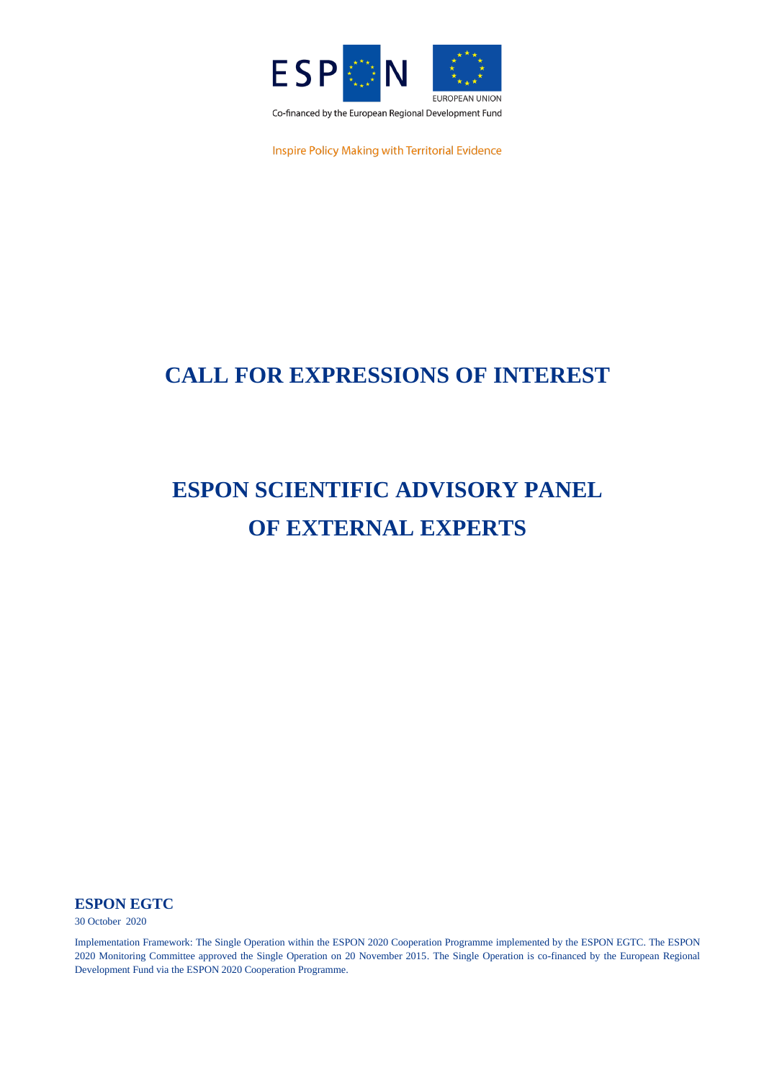

Inspire Policy Making with Territorial Evidence

## **CALL FOR EXPRESSIONS OF INTEREST**

# **ESPON SCIENTIFIC ADVISORY PANEL OF EXTERNAL EXPERTS**

**ESPON EGTC**

30 October 2020

Implementation Framework: The Single Operation within the ESPON 2020 Cooperation Programme implemented by the ESPON EGTC. The ESPON 2020 Monitoring Committee approved the Single Operation on 20 November 2015. The Single Operation is co-financed by the European Regional Development Fund via the ESPON 2020 Cooperation Programme.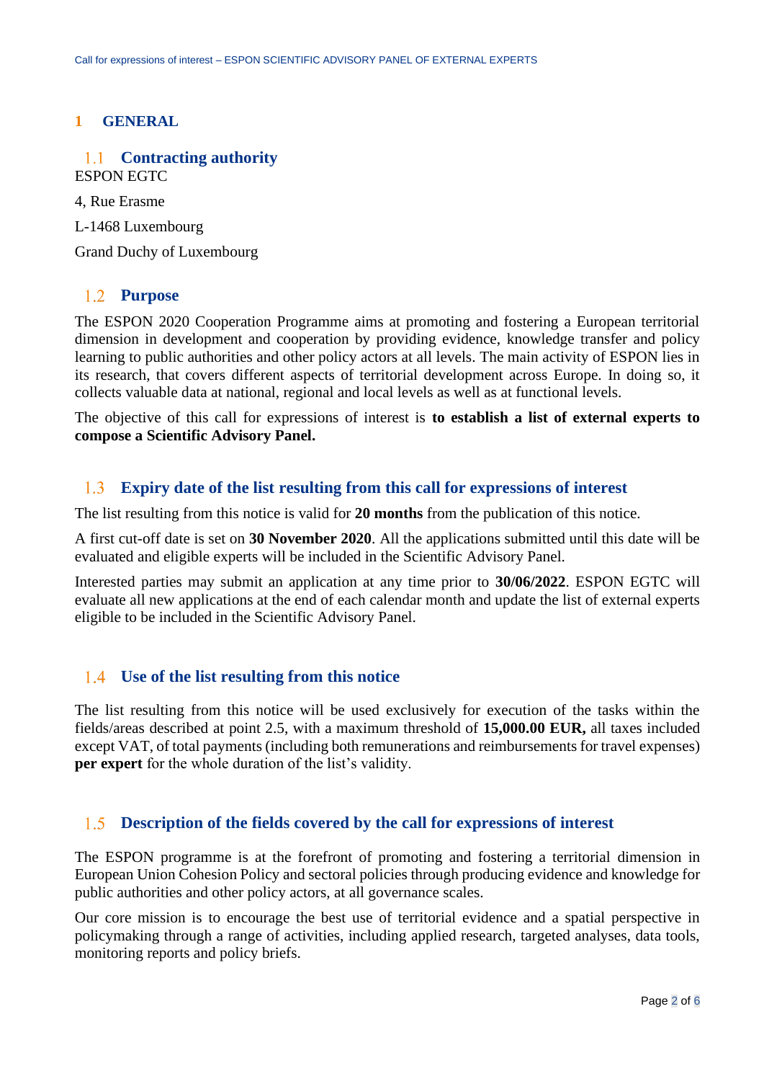## **1 GENERAL**

### **Contracting authority**  $1.1$ ESPON EGTC

4, Rue Erasme

L-1468 Luxembourg

Grand Duchy of Luxembourg

### $1.2$ **Purpose**

The ESPON 2020 Cooperation Programme aims at promoting and fostering a European territorial dimension in development and cooperation by providing evidence, knowledge transfer and policy learning to public authorities and other policy actors at all levels. The main activity of ESPON lies in its research, that covers different aspects of territorial development across Europe. In doing so, it collects valuable data at national, regional and local levels as well as at functional levels.

The objective of this call for expressions of interest is **to establish a list of external experts to compose a Scientific Advisory Panel.**

### $1.3$ **Expiry date of the list resulting from this call for expressions of interest**

The list resulting from this notice is valid for **20 months** from the publication of this notice.

A first cut-off date is set on **30 November 2020**. All the applications submitted until this date will be evaluated and eligible experts will be included in the Scientific Advisory Panel.

Interested parties may submit an application at any time prior to **30/06/2022**. ESPON EGTC will evaluate all new applications at the end of each calendar month and update the list of external experts eligible to be included in the Scientific Advisory Panel.

## **Use of the list resulting from this notice**

The list resulting from this notice will be used exclusively for execution of the tasks within the fields/areas described at point 2.5, with a maximum threshold of **15,000.00 EUR,** all taxes included except VAT, of total payments (including both remunerations and reimbursements for travel expenses) **per expert** for the whole duration of the list's validity.

### $1.5$ **Description of the fields covered by the call for expressions of interest**

The ESPON programme is at the forefront of promoting and fostering a territorial dimension in European Union Cohesion Policy and sectoral policies through producing evidence and knowledge for public authorities and other policy actors, at all governance scales.

Our core mission is to encourage the best use of territorial evidence and a spatial perspective in policymaking through a range of activities, including applied research, targeted analyses, data tools, monitoring reports and policy briefs.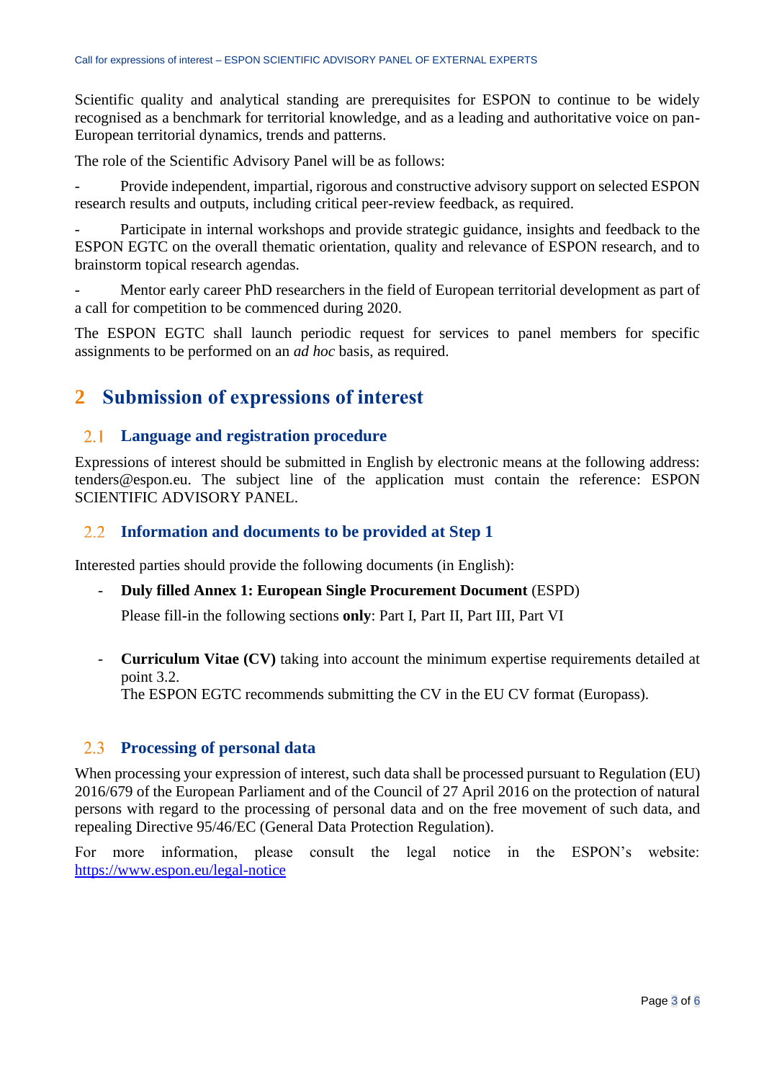Scientific quality and analytical standing are prerequisites for ESPON to continue to be widely recognised as a benchmark for territorial knowledge, and as a leading and authoritative voice on pan-European territorial dynamics, trends and patterns.

The role of the Scientific Advisory Panel will be as follows:

Provide independent, impartial, rigorous and constructive advisory support on selected ESPON research results and outputs, including critical peer-review feedback, as required.

Participate in internal workshops and provide strategic guidance, insights and feedback to the ESPON EGTC on the overall thematic orientation, quality and relevance of ESPON research, and to brainstorm topical research agendas.

Mentor early career PhD researchers in the field of European territorial development as part of a call for competition to be commenced during 2020.

The ESPON EGTC shall launch periodic request for services to panel members for specific assignments to be performed on an *ad hoc* basis, as required.

## **2 Submission of expressions of interest**

### **Language and registration procedure**  $2.1$

Expressions of interest should be submitted in English by electronic means at the following address: tenders@espon.eu. The subject line of the application must contain the reference: ESPON SCIENTIFIC ADVISORY PANEL.

## **Information and documents to be provided at Step 1**

Interested parties should provide the following documents (in English):

## - **Duly filled Annex 1: European Single Procurement Document** (ESPD)

Please fill-in the following sections **only**: Part I, Part II, Part III, Part VI

- **Curriculum Vitae (CV)** taking into account the minimum expertise requirements detailed at point 3.2.

The ESPON EGTC recommends submitting the CV in the EU CV format (Europass).

### **Processing of personal data**  $2.3$

When processing your expression of interest, such data shall be processed pursuant to Regulation (EU) 2016/679 of the European Parliament and of the Council of 27 April 2016 on the protection of natural persons with regard to the processing of personal data and on the free movement of such data, and repealing Directive 95/46/EC (General Data Protection Regulation).

For more information, please consult the legal notice in the ESPON's website: <https://www.espon.eu/legal-notice>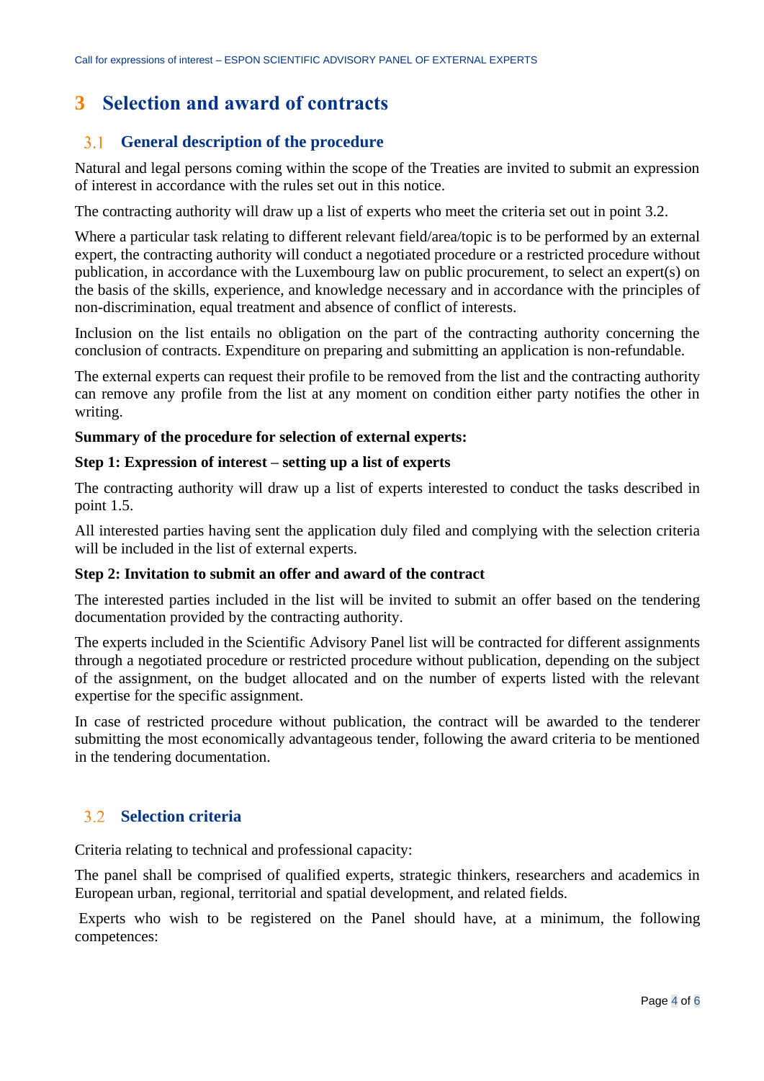## **3 Selection and award of contracts**

### **General description of the procedure** 3.1

Natural and legal persons coming within the scope of the Treaties are invited to submit an expression of interest in accordance with the rules set out in this notice.

The contracting authority will draw up a list of experts who meet the criteria set out in point 3.2.

Where a particular task relating to different relevant field/area/topic is to be performed by an external expert, the contracting authority will conduct a negotiated procedure or a restricted procedure without publication, in accordance with the Luxembourg law on public procurement, to select an expert(s) on the basis of the skills, experience, and knowledge necessary and in accordance with the principles of non-discrimination, equal treatment and absence of conflict of interests.

Inclusion on the list entails no obligation on the part of the contracting authority concerning the conclusion of contracts. Expenditure on preparing and submitting an application is non-refundable.

The external experts can request their profile to be removed from the list and the contracting authority can remove any profile from the list at any moment on condition either party notifies the other in writing.

### **Summary of the procedure for selection of external experts:**

### **Step 1: Expression of interest – setting up a list of experts**

The contracting authority will draw up a list of experts interested to conduct the tasks described in point 1.5.

All interested parties having sent the application duly filed and complying with the selection criteria will be included in the list of external experts.

## **Step 2: Invitation to submit an offer and award of the contract**

The interested parties included in the list will be invited to submit an offer based on the tendering documentation provided by the contracting authority.

The experts included in the Scientific Advisory Panel list will be contracted for different assignments through a negotiated procedure or restricted procedure without publication, depending on the subject of the assignment, on the budget allocated and on the number of experts listed with the relevant expertise for the specific assignment.

In case of restricted procedure without publication, the contract will be awarded to the tenderer submitting the most economically advantageous tender, following the award criteria to be mentioned in the tendering documentation.

### $3.2$ **Selection criteria**

Criteria relating to technical and professional capacity:

The panel shall be comprised of qualified experts, strategic thinkers, researchers and academics in European urban, regional, territorial and spatial development, and related fields.

Experts who wish to be registered on the Panel should have, at a minimum, the following competences: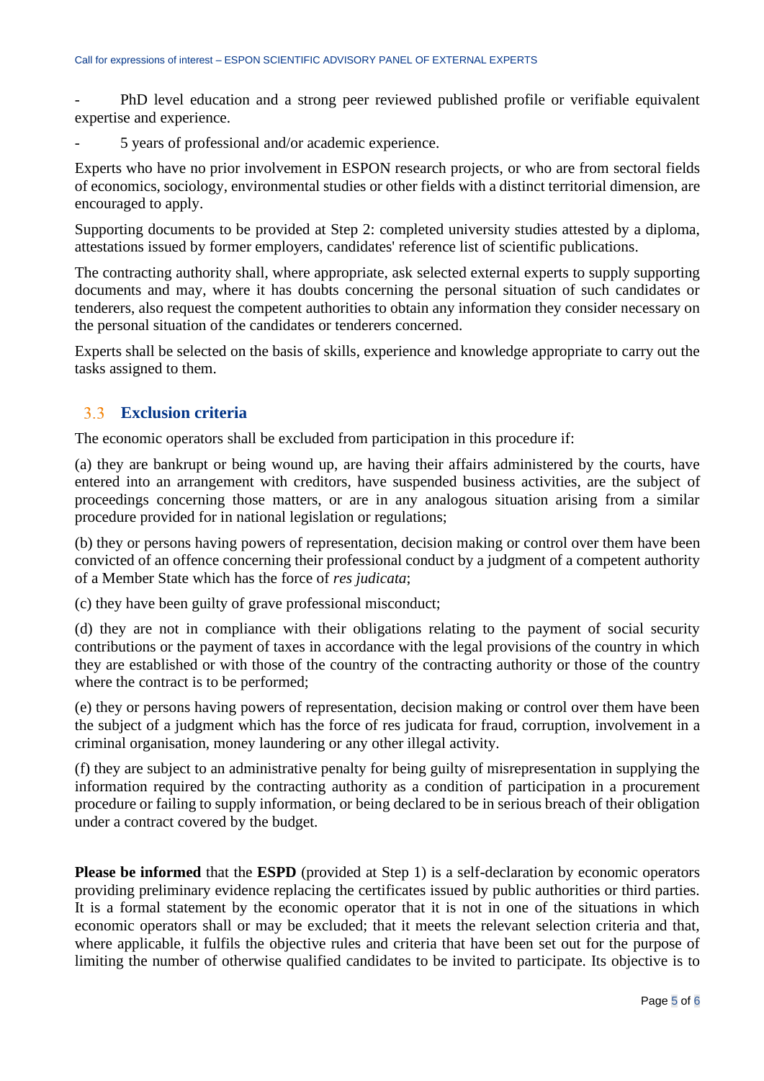- PhD level education and a strong peer reviewed published profile or verifiable equivalent expertise and experience.

- 5 years of professional and/or academic experience.

Experts who have no prior involvement in ESPON research projects, or who are from sectoral fields of economics, sociology, environmental studies or other fields with a distinct territorial dimension, are encouraged to apply.

Supporting documents to be provided at Step 2: completed university studies attested by a diploma, attestations issued by former employers, candidates' reference list of scientific publications.

The contracting authority shall, where appropriate, ask selected external experts to supply supporting documents and may, where it has doubts concerning the personal situation of such candidates or tenderers, also request the competent authorities to obtain any information they consider necessary on the personal situation of the candidates or tenderers concerned.

Experts shall be selected on the basis of skills, experience and knowledge appropriate to carry out the tasks assigned to them.

### **Exclusion criteria**  $3.3$

The economic operators shall be excluded from participation in this procedure if:

(a) they are bankrupt or being wound up, are having their affairs administered by the courts, have entered into an arrangement with creditors, have suspended business activities, are the subject of proceedings concerning those matters, or are in any analogous situation arising from a similar procedure provided for in national legislation or regulations;

(b) they or persons having powers of representation, decision making or control over them have been convicted of an offence concerning their professional conduct by a judgment of a competent authority of a Member State which has the force of *res judicata*;

(c) they have been guilty of grave professional misconduct;

(d) they are not in compliance with their obligations relating to the payment of social security contributions or the payment of taxes in accordance with the legal provisions of the country in which they are established or with those of the country of the contracting authority or those of the country where the contract is to be performed;

(e) they or persons having powers of representation, decision making or control over them have been the subject of a judgment which has the force of res judicata for fraud, corruption, involvement in a criminal organisation, money laundering or any other illegal activity.

(f) they are subject to an administrative penalty for being guilty of misrepresentation in supplying the information required by the contracting authority as a condition of participation in a procurement procedure or failing to supply information, or being declared to be in serious breach of their obligation under a contract covered by the budget.

**Please be informed** that the **ESPD** (provided at Step 1) is a self-declaration by economic operators providing preliminary evidence replacing the certificates issued by public authorities or third parties. It is a formal statement by the economic operator that it is not in one of the situations in which economic operators shall or may be excluded; that it meets the relevant selection criteria and that, where applicable, it fulfils the objective rules and criteria that have been set out for the purpose of limiting the number of otherwise qualified candidates to be invited to participate. Its objective is to